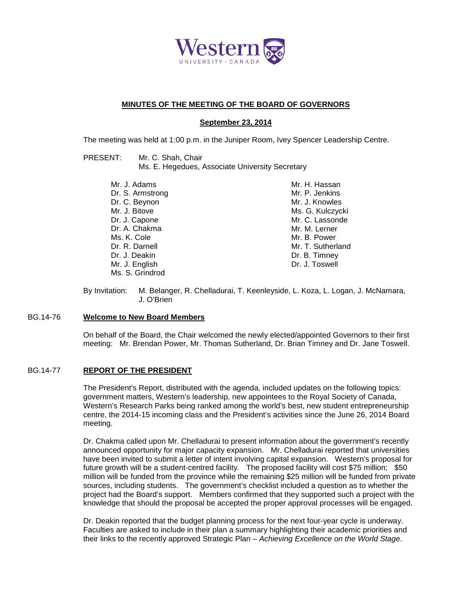

## **MINUTES OF THE MEETING OF THE BOARD OF GOVERNORS**

# **September 23, 2014**

The meeting was held at 1:00 p.m. in the Juniper Room, Ivey Spencer Leadership Centre.

| PRESENT: | Mr. C. Shah, Chair                              |
|----------|-------------------------------------------------|
|          | Ms. E. Hegedues, Associate University Secretary |

| Mr. H. Hassan     |
|-------------------|
| Mr. P. Jenkins    |
| Mr. J. Knowles    |
| Ms. G. Kulczycki  |
| Mr. C. Lassonde   |
| Mr. M. Lerner     |
| Mr. B. Power      |
| Mr. T. Sutherland |
| Dr. B. Timney     |
| Dr. J. Toswell    |
|                   |
|                   |

By Invitation: M. Belanger, R. Chelladurai, T. Keenleyside, L. Koza, L. Logan, J. McNamara, J. O'Brien

### BG.14-76 **Welcome to New Board Members**

On behalf of the Board, the Chair welcomed the newly elected/appointed Governors to their first meeting: Mr. Brendan Power, Mr. Thomas Sutherland, Dr. Brian Timney and Dr. Jane Toswell.

## BG.14-77 **REPORT OF THE PRESIDENT**

The President's Report, distributed with the agenda, included updates on the following topics: government matters, Western's leadership, new appointees to the Royal Society of Canada, Western's Research Parks being ranked among the world's best, new student entrepreneurship centre, the 2014-15 incoming class and the President's activities since the June 26, 2014 Board meeting.

Dr. Chakma called upon Mr. Chelladurai to present information about the government's recently announced opportunity for major capacity expansion. Mr. Chelladurai reported that universities have been invited to submit a letter of intent involving capital expansion. Western's proposal for future growth will be a student-centred facility. The proposed facility will cost \$75 million; \$50 million will be funded from the province while the remaining \$25 million will be funded from private sources, including students. The government's checklist included a question as to whether the project had the Board's support. Members confirmed that they supported such a project with the knowledge that should the proposal be accepted the proper approval processes will be engaged.

Dr. Deakin reported that the budget planning process for the next four-year cycle is underway. Faculties are asked to include in their plan a summary highlighting their academic priorities and their links to the recently approved Strategic Plan – *Achieving Excellence on the World Stage*.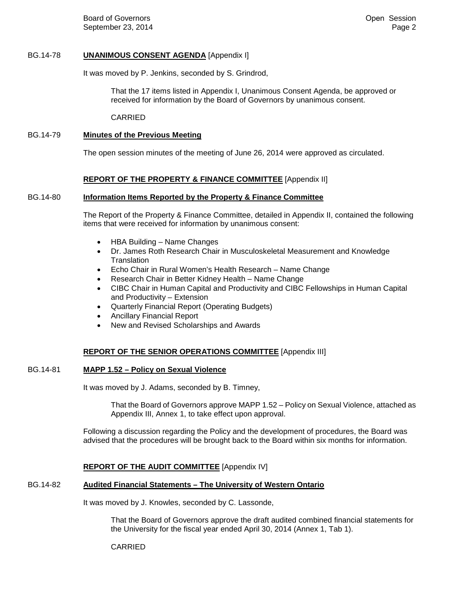Board of Governors September 23, 2014

## BG.14-78 **UNANIMOUS CONSENT AGENDA** [Appendix I]

It was moved by P. Jenkins, seconded by S. Grindrod,

That the 17 items listed in Appendix I, Unanimous Consent Agenda, be approved or received for information by the Board of Governors by unanimous consent.

CARRIED

# BG.14-79 **Minutes of the Previous Meeting**

The open session minutes of the meeting of June 26, 2014 were approved as circulated.

## **REPORT OF THE PROPERTY & FINANCE COMMITTEE** [Appendix II]

### BG.14-80 **Information Items Reported by the Property & Finance Committee**

The Report of the Property & Finance Committee, detailed in Appendix II, contained the following items that were received for information by unanimous consent:

- HBA Building Name Changes
- Dr. James Roth Research Chair in Musculoskeletal Measurement and Knowledge **Translation**
- Echo Chair in Rural Women's Health Research Name Change
- Research Chair in Better Kidney Health Name Change
- CIBC Chair in Human Capital and Productivity and CIBC Fellowships in Human Capital and Productivity – Extension
- Quarterly Financial Report (Operating Budgets)
- Ancillary Financial Report
- New and Revised Scholarships and Awards

## **REPORT OF THE SENIOR OPERATIONS COMMITTEE** [Appendix III]

#### BG.14-81 **MAPP 1.52 – Policy on Sexual Violence**

It was moved by J. Adams, seconded by B. Timney,

That the Board of Governors approve MAPP 1.52 – Policy on Sexual Violence, attached as Appendix III, Annex 1, to take effect upon approval.

Following a discussion regarding the Policy and the development of procedures, the Board was advised that the procedures will be brought back to the Board within six months for information.

## **REPORT OF THE AUDIT COMMITTEE** [Appendix IV]

## BG.14-82 **Audited Financial Statements – The University of Western Ontario**

It was moved by J. Knowles, seconded by C. Lassonde,

That the Board of Governors approve the draft audited combined financial statements for the University for the fiscal year ended April 30, 2014 (Annex 1, Tab 1).

#### CARRIED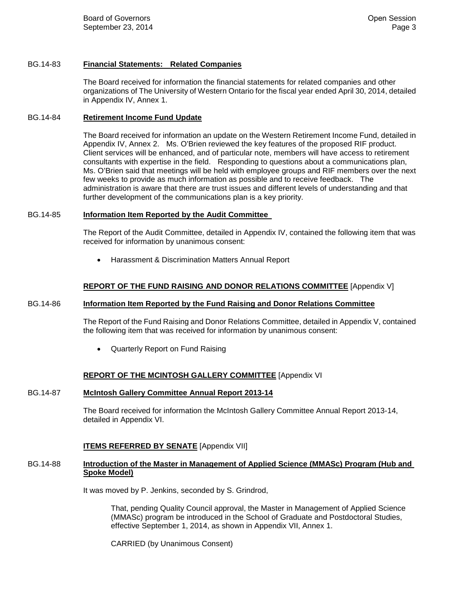## BG.14-83 **Financial Statements: Related Companies**

The Board received for information the financial statements for related companies and other organizations of The University of Western Ontario for the fiscal year ended April 30, 2014, detailed in Appendix IV, Annex 1.

### BG.14-84 **Retirement Income Fund Update**

The Board received for information an update on the Western Retirement Income Fund, detailed in Appendix IV, Annex 2. Ms. O'Brien reviewed the key features of the proposed RIF product. Client services will be enhanced, and of particular note, members will have access to retirement consultants with expertise in the field. Responding to questions about a communications plan, Ms. O'Brien said that meetings will be held with employee groups and RIF members over the next few weeks to provide as much information as possible and to receive feedback. The administration is aware that there are trust issues and different levels of understanding and that further development of the communications plan is a key priority.

### BG.14-85 **Information Item Reported by the Audit Committee**

The Report of the Audit Committee, detailed in Appendix IV, contained the following item that was received for information by unanimous consent:

• Harassment & Discrimination Matters Annual Report

## **REPORT OF THE FUND RAISING AND DONOR RELATIONS COMMITTEE** [Appendix V]

## BG.14-86 **Information Item Reported by the Fund Raising and Donor Relations Committee**

The Report of the Fund Raising and Donor Relations Committee, detailed in Appendix V, contained the following item that was received for information by unanimous consent:

• Quarterly Report on Fund Raising

## **REPORT OF THE MCINTOSH GALLERY COMMITTEE** [Appendix VI

## BG.14-87 **McIntosh Gallery Committee Annual Report 2013-14**

The Board received for information the McIntosh Gallery Committee Annual Report 2013-14, detailed in Appendix VI.

## **ITEMS REFERRED BY SENATE** [Appendix VII]

### BG.14-88 **Introduction of the Master in Management of Applied Science (MMASc) Program (Hub and Spoke Model)**

It was moved by P. Jenkins, seconded by S. Grindrod,

That, pending Quality Council approval, the Master in Management of Applied Science (MMASc) program be introduced in the School of Graduate and Postdoctoral Studies, effective September 1, 2014, as shown in Appendix VII, Annex 1.

CARRIED (by Unanimous Consent)